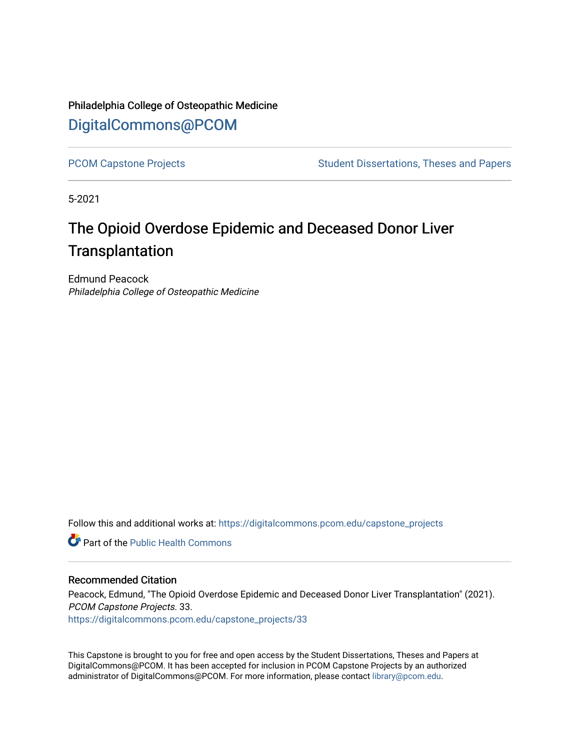Philadelphia College of Osteopathic Medicine [DigitalCommons@PCOM](https://digitalcommons.pcom.edu/) 

[PCOM Capstone Projects](https://digitalcommons.pcom.edu/capstone_projects) **Student Dissertations, Theses and Papers** Student Dissertations, Theses and Papers

5-2021

# The Opioid Overdose Epidemic and Deceased Donor Liver **Transplantation**

Edmund Peacock Philadelphia College of Osteopathic Medicine

Follow this and additional works at: [https://digitalcommons.pcom.edu/capstone\\_projects](https://digitalcommons.pcom.edu/capstone_projects?utm_source=digitalcommons.pcom.edu%2Fcapstone_projects%2F33&utm_medium=PDF&utm_campaign=PDFCoverPages)

**C** Part of the Public Health Commons

#### Recommended Citation

Peacock, Edmund, "The Opioid Overdose Epidemic and Deceased Donor Liver Transplantation" (2021). PCOM Capstone Projects. 33. [https://digitalcommons.pcom.edu/capstone\\_projects/33](https://digitalcommons.pcom.edu/capstone_projects/33?utm_source=digitalcommons.pcom.edu%2Fcapstone_projects%2F33&utm_medium=PDF&utm_campaign=PDFCoverPages) 

This Capstone is brought to you for free and open access by the Student Dissertations, Theses and Papers at DigitalCommons@PCOM. It has been accepted for inclusion in PCOM Capstone Projects by an authorized administrator of DigitalCommons@PCOM. For more information, please contact [library@pcom.edu.](mailto:library@pcom.edu)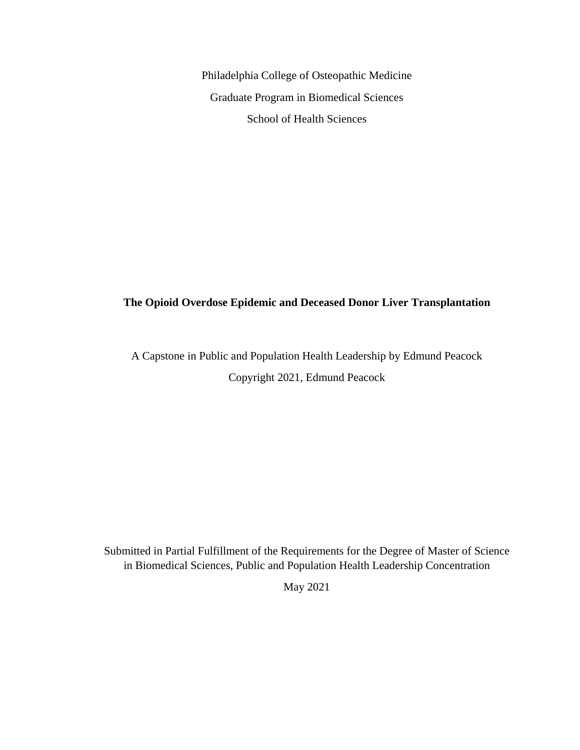Philadelphia College of Osteopathic Medicine Graduate Program in Biomedical Sciences School of Health Sciences

### **The Opioid Overdose Epidemic and Deceased Donor Liver Transplantation**

# A Capstone in Public and Population Health Leadership by Edmund Peacock Copyright 2021, Edmund Peacock

Submitted in Partial Fulfillment of the Requirements for the Degree of Master of Science in Biomedical Sciences, Public and Population Health Leadership Concentration

May 2021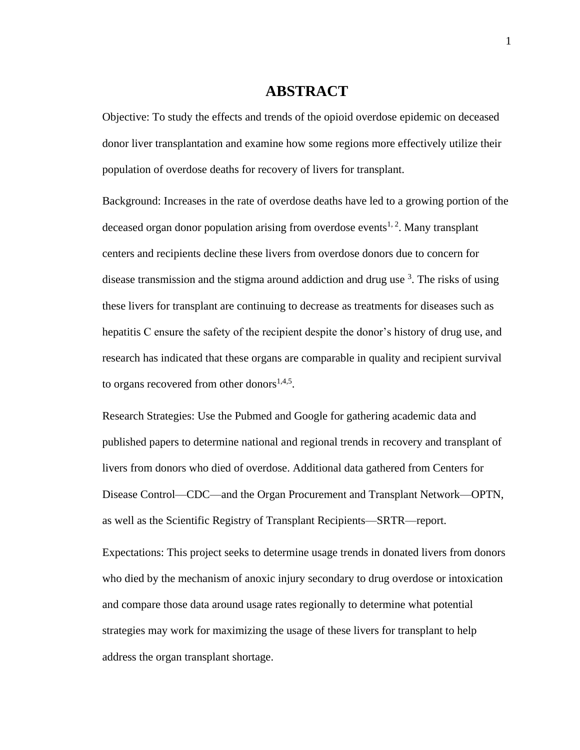### **ABSTRACT**

Objective: To study the effects and trends of the opioid overdose epidemic on deceased donor liver transplantation and examine how some regions more effectively utilize their population of overdose deaths for recovery of livers for transplant.

Background: Increases in the rate of overdose deaths have led to a growing portion of the deceased organ donor population arising from overdose events<sup>1, 2</sup>. Many transplant centers and recipients decline these livers from overdose donors due to concern for disease transmission and the stigma around addiction and drug use  $3$ . The risks of using these livers for transplant are continuing to decrease as treatments for diseases such as hepatitis C ensure the safety of the recipient despite the donor's history of drug use, and research has indicated that these organs are comparable in quality and recipient survival to organs recovered from other donors $1,4,5$ .

Research Strategies: Use the Pubmed and Google for gathering academic data and published papers to determine national and regional trends in recovery and transplant of livers from donors who died of overdose. Additional data gathered from Centers for Disease Control—CDC—and the Organ Procurement and Transplant Network—OPTN, as well as the Scientific Registry of Transplant Recipients—SRTR—report.

Expectations: This project seeks to determine usage trends in donated livers from donors who died by the mechanism of anoxic injury secondary to drug overdose or intoxication and compare those data around usage rates regionally to determine what potential strategies may work for maximizing the usage of these livers for transplant to help address the organ transplant shortage.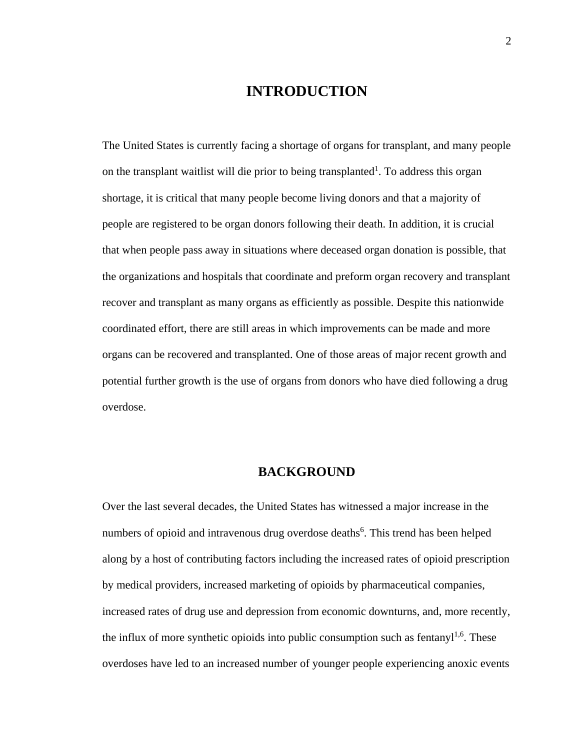### **INTRODUCTION**

The United States is currently facing a shortage of organs for transplant, and many people on the transplant waitlist will die prior to being transplanted<sup>1</sup>. To address this organ shortage, it is critical that many people become living donors and that a majority of people are registered to be organ donors following their death. In addition, it is crucial that when people pass away in situations where deceased organ donation is possible, that the organizations and hospitals that coordinate and preform organ recovery and transplant recover and transplant as many organs as efficiently as possible. Despite this nationwide coordinated effort, there are still areas in which improvements can be made and more organs can be recovered and transplanted. One of those areas of major recent growth and potential further growth is the use of organs from donors who have died following a drug overdose.

#### **BACKGROUND**

Over the last several decades, the United States has witnessed a major increase in the numbers of opioid and intravenous drug overdose deaths<sup>6</sup>. This trend has been helped along by a host of contributing factors including the increased rates of opioid prescription by medical providers, increased marketing of opioids by pharmaceutical companies, increased rates of drug use and depression from economic downturns, and, more recently, the influx of more synthetic opioids into public consumption such as fentany $l^{1,6}$ . These overdoses have led to an increased number of younger people experiencing anoxic events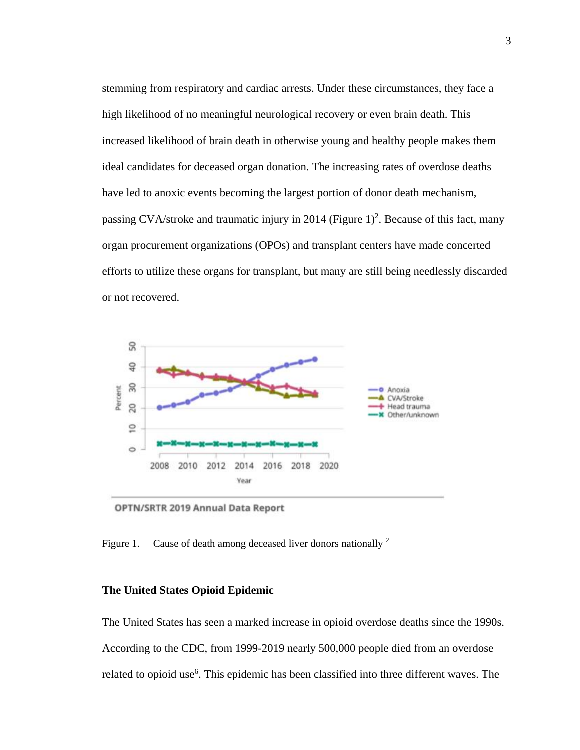stemming from respiratory and cardiac arrests. Under these circumstances, they face a high likelihood of no meaningful neurological recovery or even brain death. This increased likelihood of brain death in otherwise young and healthy people makes them ideal candidates for deceased organ donation. The increasing rates of overdose deaths have led to anoxic events becoming the largest portion of donor death mechanism, passing CVA/stroke and traumatic injury in 2014 (Figure  $1)^2$ . Because of this fact, many organ procurement organizations (OPOs) and transplant centers have made concerted efforts to utilize these organs for transplant, but many are still being needlessly discarded or not recovered.



OPTN/SRTR 2019 Annual Data Report

Figure 1. Cause of death among deceased liver donors nationally <sup>2</sup>

#### **The United States Opioid Epidemic**

The United States has seen a marked increase in opioid overdose deaths since the 1990s. According to the CDC, from 1999-2019 nearly 500,000 people died from an overdose related to opioid use<sup>6</sup>. This epidemic has been classified into three different waves. The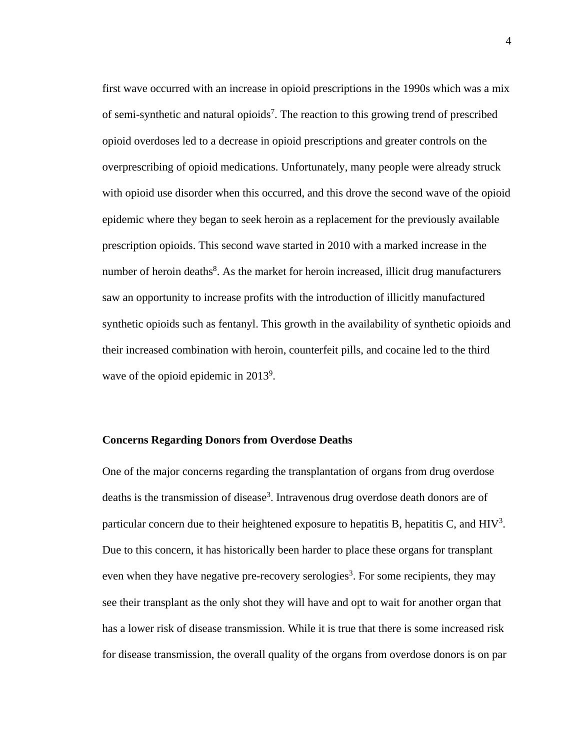first wave occurred with an increase in opioid prescriptions in the 1990s which was a mix of semi-synthetic and natural opioids<sup>7</sup>. The reaction to this growing trend of prescribed opioid overdoses led to a decrease in opioid prescriptions and greater controls on the overprescribing of opioid medications. Unfortunately, many people were already struck with opioid use disorder when this occurred, and this drove the second wave of the opioid epidemic where they began to seek heroin as a replacement for the previously available prescription opioids. This second wave started in 2010 with a marked increase in the number of heroin deaths<sup>8</sup>. As the market for heroin increased, illicit drug manufacturers saw an opportunity to increase profits with the introduction of illicitly manufactured synthetic opioids such as fentanyl. This growth in the availability of synthetic opioids and their increased combination with heroin, counterfeit pills, and cocaine led to the third wave of the opioid epidemic in  $2013^9$ .

#### **Concerns Regarding Donors from Overdose Deaths**

One of the major concerns regarding the transplantation of organs from drug overdose deaths is the transmission of disease<sup>3</sup>. Intravenous drug overdose death donors are of particular concern due to their heightened exposure to hepatitis B, hepatitis C, and  $HIV<sup>3</sup>$ . Due to this concern, it has historically been harder to place these organs for transplant even when they have negative pre-recovery serologies<sup>3</sup>. For some recipients, they may see their transplant as the only shot they will have and opt to wait for another organ that has a lower risk of disease transmission. While it is true that there is some increased risk for disease transmission, the overall quality of the organs from overdose donors is on par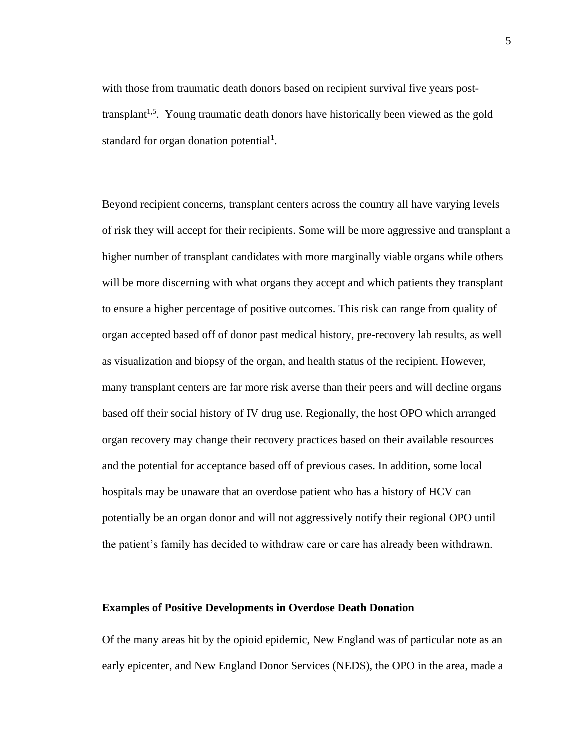with those from traumatic death donors based on recipient survival five years posttransplant<sup>1,5</sup>. Young traumatic death donors have historically been viewed as the gold standard for organ donation potential<sup>1</sup>.

Beyond recipient concerns, transplant centers across the country all have varying levels of risk they will accept for their recipients. Some will be more aggressive and transplant a higher number of transplant candidates with more marginally viable organs while others will be more discerning with what organs they accept and which patients they transplant to ensure a higher percentage of positive outcomes. This risk can range from quality of organ accepted based off of donor past medical history, pre-recovery lab results, as well as visualization and biopsy of the organ, and health status of the recipient. However, many transplant centers are far more risk averse than their peers and will decline organs based off their social history of IV drug use. Regionally, the host OPO which arranged organ recovery may change their recovery practices based on their available resources and the potential for acceptance based off of previous cases. In addition, some local hospitals may be unaware that an overdose patient who has a history of HCV can potentially be an organ donor and will not aggressively notify their regional OPO until the patient's family has decided to withdraw care or care has already been withdrawn.

#### **Examples of Positive Developments in Overdose Death Donation**

Of the many areas hit by the opioid epidemic, New England was of particular note as an early epicenter, and New England Donor Services (NEDS), the OPO in the area, made a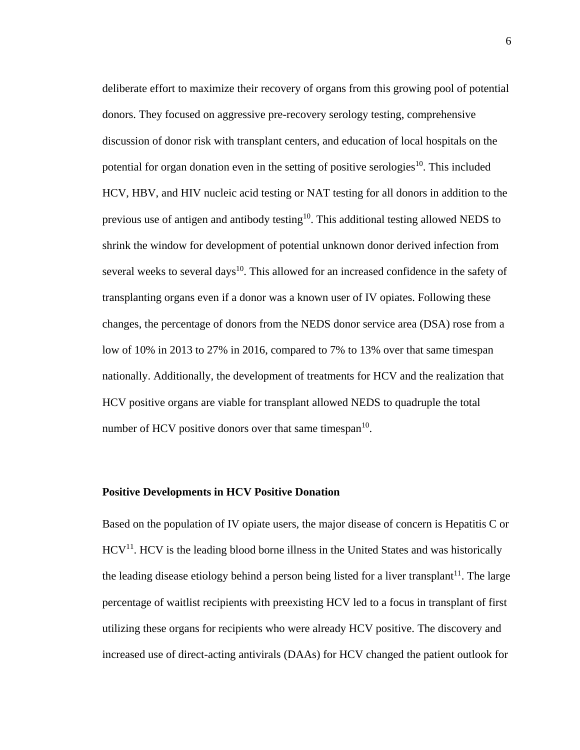deliberate effort to maximize their recovery of organs from this growing pool of potential donors. They focused on aggressive pre-recovery serology testing, comprehensive discussion of donor risk with transplant centers, and education of local hospitals on the potential for organ donation even in the setting of positive serologies<sup>10</sup>. This included HCV, HBV, and HIV nucleic acid testing or NAT testing for all donors in addition to the previous use of antigen and antibody testing<sup>10</sup>. This additional testing allowed NEDS to shrink the window for development of potential unknown donor derived infection from several weeks to several days<sup>10</sup>. This allowed for an increased confidence in the safety of transplanting organs even if a donor was a known user of IV opiates. Following these changes, the percentage of donors from the NEDS donor service area (DSA) rose from a low of 10% in 2013 to 27% in 2016, compared to 7% to 13% over that same timespan nationally. Additionally, the development of treatments for HCV and the realization that HCV positive organs are viable for transplant allowed NEDS to quadruple the total number of HCV positive donors over that same timespan $10$ .

#### **Positive Developments in HCV Positive Donation**

Based on the population of IV opiate users, the major disease of concern is Hepatitis C or  $HCV<sup>11</sup>$ . HCV is the leading blood borne illness in the United States and was historically the leading disease etiology behind a person being listed for a liver transplant<sup>11</sup>. The large percentage of waitlist recipients with preexisting HCV led to a focus in transplant of first utilizing these organs for recipients who were already HCV positive. The discovery and increased use of direct-acting antivirals (DAAs) for HCV changed the patient outlook for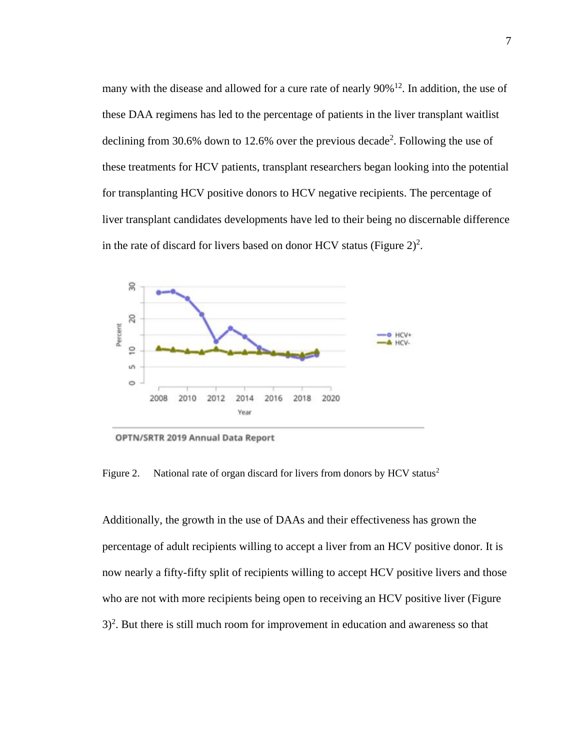many with the disease and allowed for a cure rate of nearly 90%<sup>12</sup>. In addition, the use of these DAA regimens has led to the percentage of patients in the liver transplant waitlist declining from 30.6% down to 12.6% over the previous decade<sup>2</sup>. Following the use of these treatments for HCV patients, transplant researchers began looking into the potential for transplanting HCV positive donors to HCV negative recipients. The percentage of liver transplant candidates developments have led to their being no discernable difference in the rate of discard for livers based on donor HCV status (Figure  $2)^2$ .



OPTN/SRTR 2019 Annual Data Report

Figure 2. National rate of organ discard for livers from donors by  $HCV$  status<sup>2</sup>

Additionally, the growth in the use of DAAs and their effectiveness has grown the percentage of adult recipients willing to accept a liver from an HCV positive donor. It is now nearly a fifty-fifty split of recipients willing to accept HCV positive livers and those who are not with more recipients being open to receiving an HCV positive liver (Figure  $3$ <sup>2</sup>. But there is still much room for improvement in education and awareness so that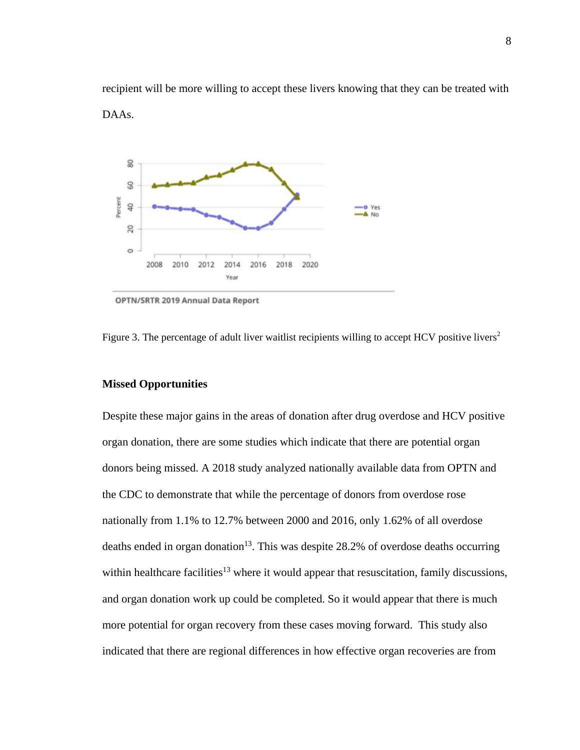recipient will be more willing to accept these livers knowing that they can be treated with DAAs.



OPTN/SRTR 2019 Annual Data Report

Figure 3. The percentage of adult liver waitlist recipients willing to accept HCV positive livers<sup>2</sup>

#### **Missed Opportunities**

Despite these major gains in the areas of donation after drug overdose and HCV positive organ donation, there are some studies which indicate that there are potential organ donors being missed. A 2018 study analyzed nationally available data from OPTN and the CDC to demonstrate that while the percentage of donors from overdose rose nationally from 1.1% to 12.7% between 2000 and 2016, only 1.62% of all overdose deaths ended in organ donation<sup>13</sup>. This was despite 28.2% of overdose deaths occurring within healthcare facilities<sup>13</sup> where it would appear that resuscitation, family discussions, and organ donation work up could be completed. So it would appear that there is much more potential for organ recovery from these cases moving forward. This study also indicated that there are regional differences in how effective organ recoveries are from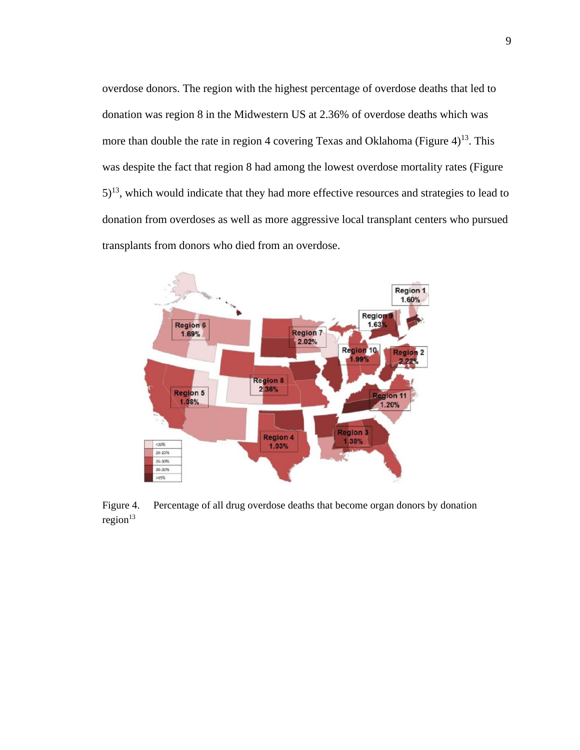overdose donors. The region with the highest percentage of overdose deaths that led to donation was region 8 in the Midwestern US at 2.36% of overdose deaths which was more than double the rate in region 4 covering Texas and Oklahoma (Figure  $4$ )<sup>13</sup>. This was despite the fact that region 8 had among the lowest overdose mortality rates (Figure  $5)^{13}$ , which would indicate that they had more effective resources and strategies to lead to donation from overdoses as well as more aggressive local transplant centers who pursued transplants from donors who died from an overdose.



Figure 4. Percentage of all drug overdose deaths that become organ donors by donation  $region<sup>13</sup>$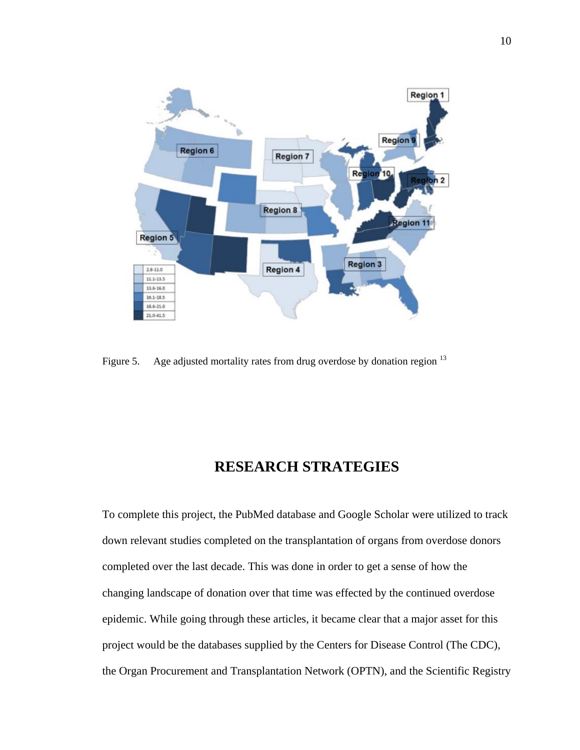

Figure 5. Age adjusted mortality rates from drug overdose by donation region  $^{13}$ 

# **RESEARCH STRATEGIES**

To complete this project, the PubMed database and Google Scholar were utilized to track down relevant studies completed on the transplantation of organs from overdose donors completed over the last decade. This was done in order to get a sense of how the changing landscape of donation over that time was effected by the continued overdose epidemic. While going through these articles, it became clear that a major asset for this project would be the databases supplied by the Centers for Disease Control (The CDC), the Organ Procurement and Transplantation Network (OPTN), and the Scientific Registry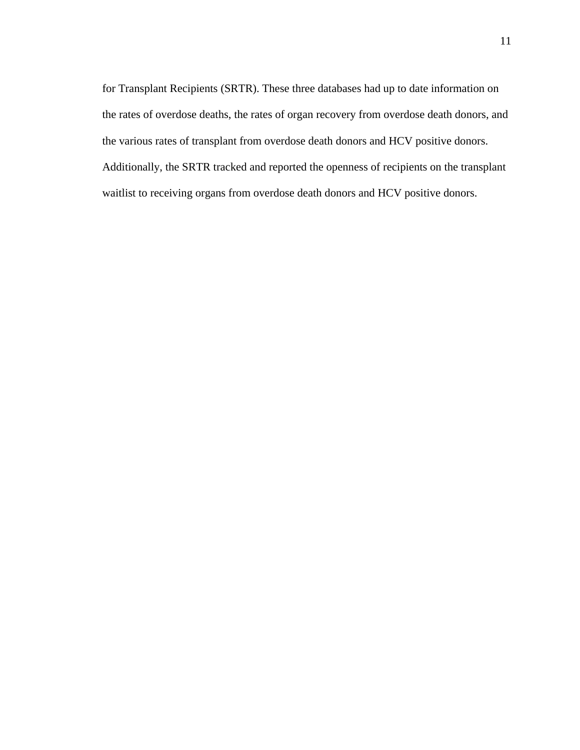for Transplant Recipients (SRTR). These three databases had up to date information on the rates of overdose deaths, the rates of organ recovery from overdose death donors, and the various rates of transplant from overdose death donors and HCV positive donors. Additionally, the SRTR tracked and reported the openness of recipients on the transplant waitlist to receiving organs from overdose death donors and HCV positive donors.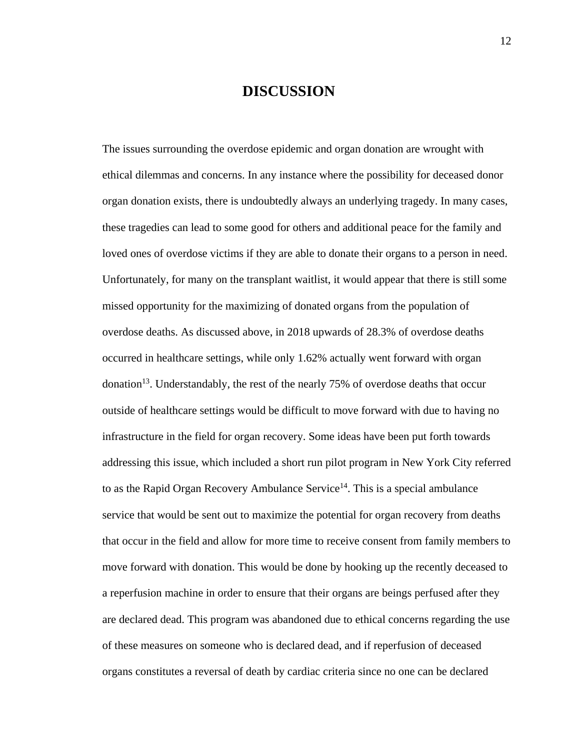### **DISCUSSION**

The issues surrounding the overdose epidemic and organ donation are wrought with ethical dilemmas and concerns. In any instance where the possibility for deceased donor organ donation exists, there is undoubtedly always an underlying tragedy. In many cases, these tragedies can lead to some good for others and additional peace for the family and loved ones of overdose victims if they are able to donate their organs to a person in need. Unfortunately, for many on the transplant waitlist, it would appear that there is still some missed opportunity for the maximizing of donated organs from the population of overdose deaths. As discussed above, in 2018 upwards of 28.3% of overdose deaths occurred in healthcare settings, while only 1.62% actually went forward with organ donation<sup>13</sup>. Understandably, the rest of the nearly 75% of overdose deaths that occur outside of healthcare settings would be difficult to move forward with due to having no infrastructure in the field for organ recovery. Some ideas have been put forth towards addressing this issue, which included a short run pilot program in New York City referred to as the Rapid Organ Recovery Ambulance Service<sup>14</sup>. This is a special ambulance service that would be sent out to maximize the potential for organ recovery from deaths that occur in the field and allow for more time to receive consent from family members to move forward with donation. This would be done by hooking up the recently deceased to a reperfusion machine in order to ensure that their organs are beings perfused after they are declared dead. This program was abandoned due to ethical concerns regarding the use of these measures on someone who is declared dead, and if reperfusion of deceased organs constitutes a reversal of death by cardiac criteria since no one can be declared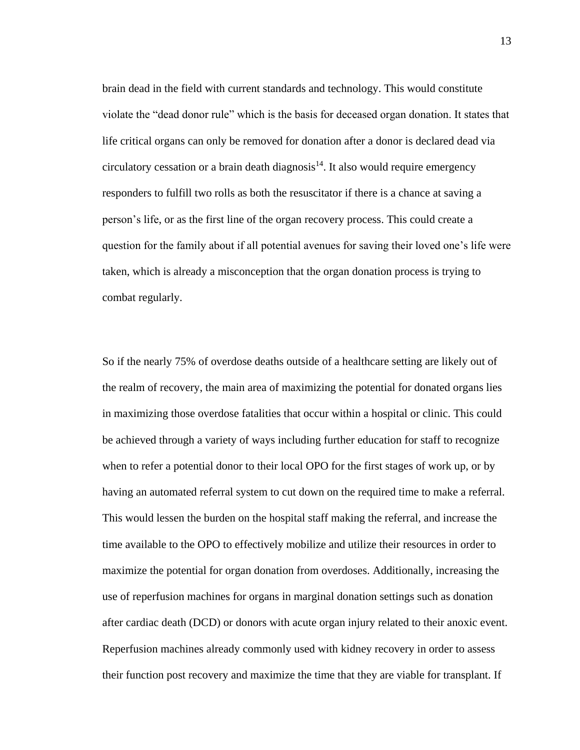brain dead in the field with current standards and technology. This would constitute violate the "dead donor rule" which is the basis for deceased organ donation. It states that life critical organs can only be removed for donation after a donor is declared dead via  $circ$  circulatory cessation or a brain death diagnosis<sup>14</sup>. It also would require emergency responders to fulfill two rolls as both the resuscitator if there is a chance at saving a person's life, or as the first line of the organ recovery process. This could create a question for the family about if all potential avenues for saving their loved one's life were taken, which is already a misconception that the organ donation process is trying to combat regularly.

So if the nearly 75% of overdose deaths outside of a healthcare setting are likely out of the realm of recovery, the main area of maximizing the potential for donated organs lies in maximizing those overdose fatalities that occur within a hospital or clinic. This could be achieved through a variety of ways including further education for staff to recognize when to refer a potential donor to their local OPO for the first stages of work up, or by having an automated referral system to cut down on the required time to make a referral. This would lessen the burden on the hospital staff making the referral, and increase the time available to the OPO to effectively mobilize and utilize their resources in order to maximize the potential for organ donation from overdoses. Additionally, increasing the use of reperfusion machines for organs in marginal donation settings such as donation after cardiac death (DCD) or donors with acute organ injury related to their anoxic event. Reperfusion machines already commonly used with kidney recovery in order to assess their function post recovery and maximize the time that they are viable for transplant. If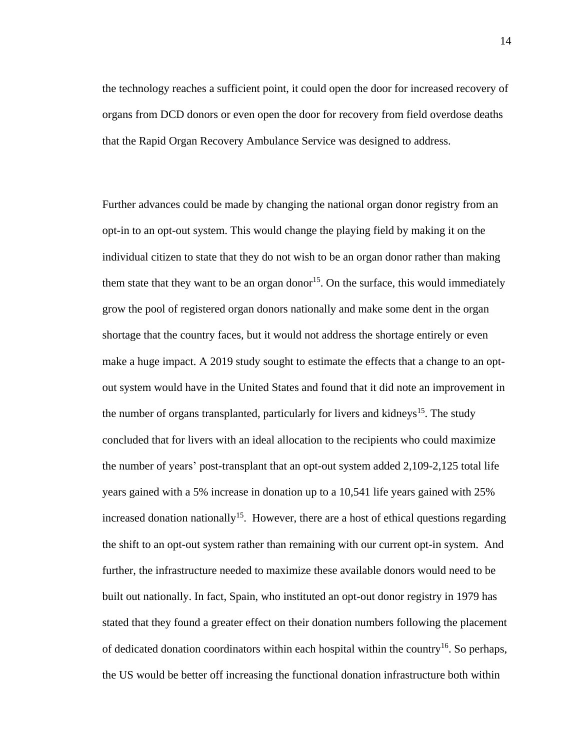the technology reaches a sufficient point, it could open the door for increased recovery of organs from DCD donors or even open the door for recovery from field overdose deaths that the Rapid Organ Recovery Ambulance Service was designed to address.

Further advances could be made by changing the national organ donor registry from an opt-in to an opt-out system. This would change the playing field by making it on the individual citizen to state that they do not wish to be an organ donor rather than making them state that they want to be an organ donor<sup>15</sup>. On the surface, this would immediately grow the pool of registered organ donors nationally and make some dent in the organ shortage that the country faces, but it would not address the shortage entirely or even make a huge impact. A 2019 study sought to estimate the effects that a change to an optout system would have in the United States and found that it did note an improvement in the number of organs transplanted, particularly for livers and kidneys<sup>15</sup>. The study concluded that for livers with an ideal allocation to the recipients who could maximize the number of years' post-transplant that an opt-out system added 2,109-2,125 total life years gained with a 5% increase in donation up to a 10,541 life years gained with 25% increased donation nationally<sup>15</sup>. However, there are a host of ethical questions regarding the shift to an opt-out system rather than remaining with our current opt-in system. And further, the infrastructure needed to maximize these available donors would need to be built out nationally. In fact, Spain, who instituted an opt-out donor registry in 1979 has stated that they found a greater effect on their donation numbers following the placement of dedicated donation coordinators within each hospital within the country<sup>16</sup>. So perhaps, the US would be better off increasing the functional donation infrastructure both within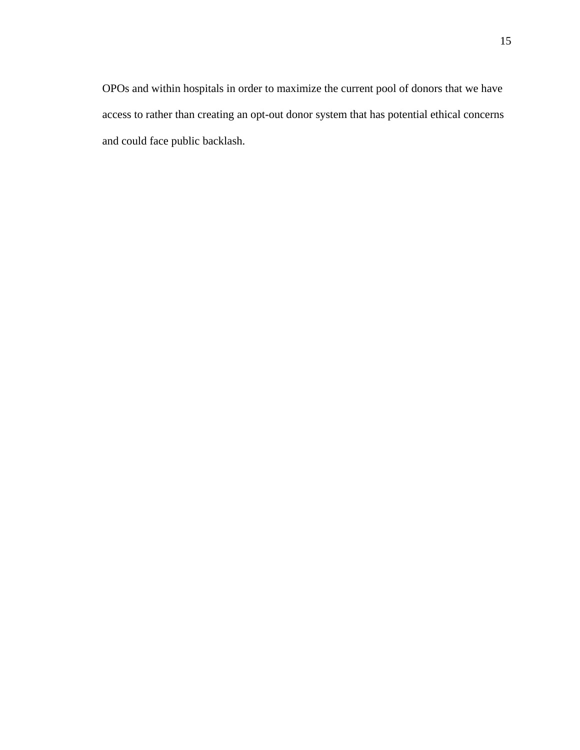OPOs and within hospitals in order to maximize the current pool of donors that we have access to rather than creating an opt-out donor system that has potential ethical concerns and could face public backlash.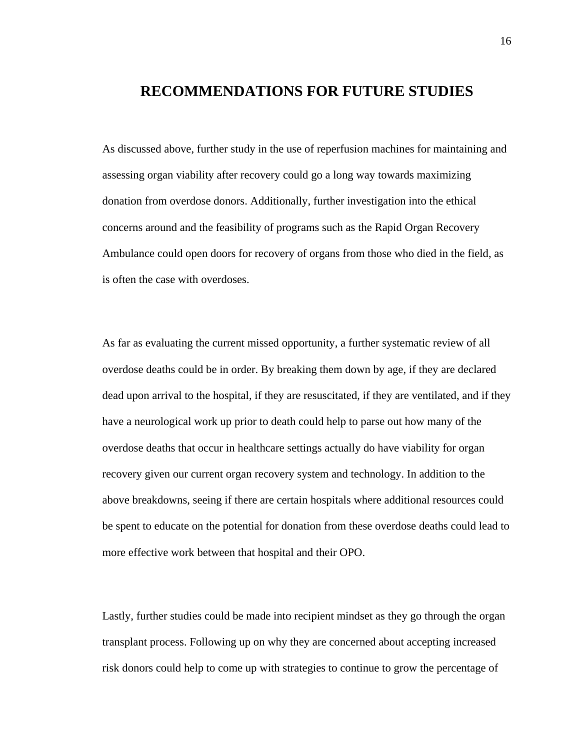### **RECOMMENDATIONS FOR FUTURE STUDIES**

As discussed above, further study in the use of reperfusion machines for maintaining and assessing organ viability after recovery could go a long way towards maximizing donation from overdose donors. Additionally, further investigation into the ethical concerns around and the feasibility of programs such as the Rapid Organ Recovery Ambulance could open doors for recovery of organs from those who died in the field, as is often the case with overdoses.

As far as evaluating the current missed opportunity, a further systematic review of all overdose deaths could be in order. By breaking them down by age, if they are declared dead upon arrival to the hospital, if they are resuscitated, if they are ventilated, and if they have a neurological work up prior to death could help to parse out how many of the overdose deaths that occur in healthcare settings actually do have viability for organ recovery given our current organ recovery system and technology. In addition to the above breakdowns, seeing if there are certain hospitals where additional resources could be spent to educate on the potential for donation from these overdose deaths could lead to more effective work between that hospital and their OPO.

Lastly, further studies could be made into recipient mindset as they go through the organ transplant process. Following up on why they are concerned about accepting increased risk donors could help to come up with strategies to continue to grow the percentage of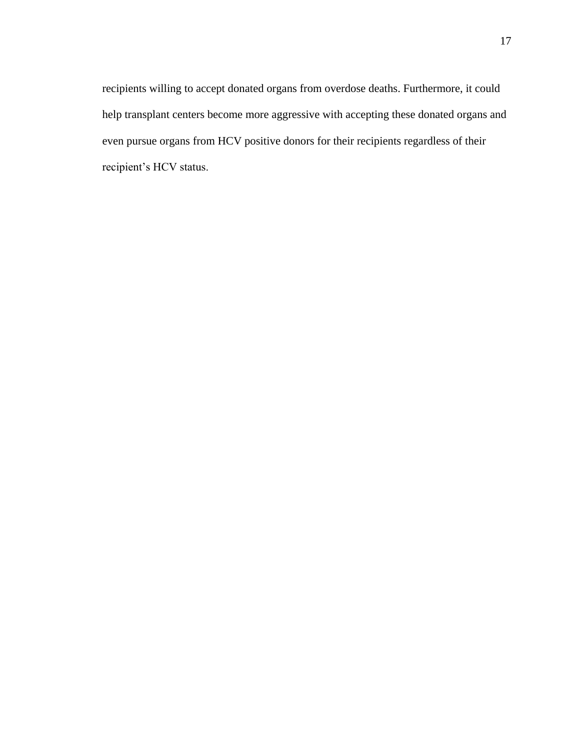recipients willing to accept donated organs from overdose deaths. Furthermore, it could help transplant centers become more aggressive with accepting these donated organs and even pursue organs from HCV positive donors for their recipients regardless of their recipient's HCV status.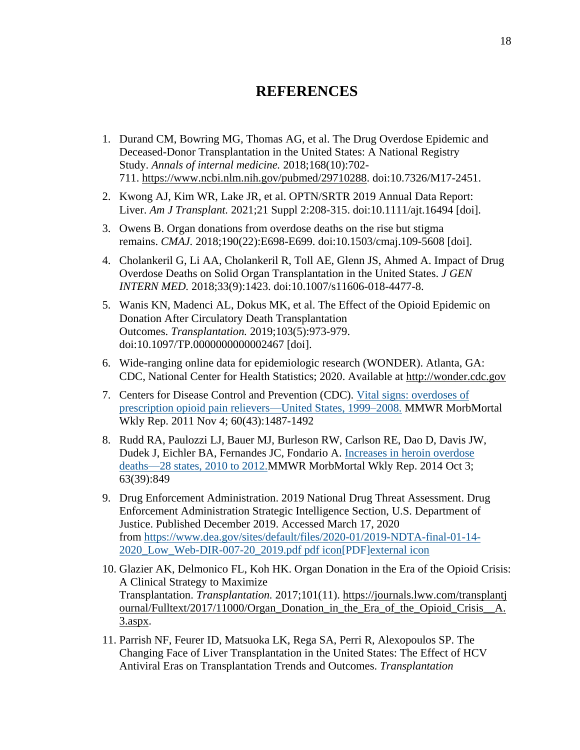# **REFERENCES**

- 1. Durand CM, Bowring MG, Thomas AG, et al. The Drug Overdose Epidemic and Deceased-Donor Transplantation in the United States: A National Registry Study. *Annals of internal medicine.* 2018;168(10):702- 711. [https://www.ncbi.nlm.nih.gov/pubmed/29710288.](https://www.ncbi.nlm.nih.gov/pubmed/29710288) doi:10.7326/M17-2451.
- 2. Kwong AJ, Kim WR, Lake JR, et al. OPTN/SRTR 2019 Annual Data Report: Liver. *Am J Transplant.* 2021;21 Suppl 2:208-315. doi:10.1111/ajt.16494 [doi].
- 3. Owens B. Organ donations from overdose deaths on the rise but stigma remains. *CMAJ.* 2018;190(22):E698-E699. doi:10.1503/cmaj.109-5608 [doi].
- 4. Cholankeril G, Li AA, Cholankeril R, Toll AE, Glenn JS, Ahmed A. Impact of Drug Overdose Deaths on Solid Organ Transplantation in the United States. *J GEN INTERN MED.* 2018;33(9):1423. doi:10.1007/s11606-018-4477-8.
- 5. Wanis KN, Madenci AL, Dokus MK, et al. The Effect of the Opioid Epidemic on Donation After Circulatory Death Transplantation Outcomes. *Transplantation.* 2019;103(5):973-979. doi:10.1097/TP.0000000000002467 [doi].
- 6. Wide-ranging online data for epidemiologic research (WONDER). Atlanta, GA: CDC, National Center for Health Statistics; 2020. Available at [http://wonder.cdc.gov](http://wonder.cdc.gov/)
- 7. Centers for Disease Control and Prevention (CDC). [Vital signs: overdoses of](https://www.cdc.gov/mmwr/preview/mmwrhtml/mm6043a4.htm)  [prescription opioid pain relievers—United States, 1999–2008.](https://www.cdc.gov/mmwr/preview/mmwrhtml/mm6043a4.htm) MMWR MorbMortal Wkly Rep. 2011 Nov 4; 60(43):1487-1492
- 8. Rudd RA, Paulozzi LJ, Bauer MJ, Burleson RW, Carlson RE, Dao D, Davis JW, Dudek J, Eichler BA, Fernandes JC, Fondario A. [Increases in heroin overdose](https://www.cdc.gov/mmwr/preview/mmwrhtml/mm6339a1.htm) [deaths—28 states, 2010 to 2012.M](https://www.cdc.gov/mmwr/preview/mmwrhtml/mm6339a1.htm)MWR MorbMortal Wkly Rep. 2014 Oct 3; 63(39):849
- 9. Drug Enforcement Administration. 2019 National Drug Threat Assessment. Drug Enforcement Administration Strategic Intelligence Section, U.S. Department of Justice. Published December 2019. Accessed March 17, 2020 from [https://www.dea.gov/sites/default/files/2020-01/2019-NDTA-final-01-14-](https://www.dea.gov/sites/default/files/2020-01/2019-NDTA-final-01-14-2020_Low_Web-DIR-007-20_2019.pdf) [2020\\_Low\\_Web-DIR-007-20\\_2019.pdf](https://www.dea.gov/sites/default/files/2020-01/2019-NDTA-final-01-14-2020_Low_Web-DIR-007-20_2019.pdf) pdf icon[PDF]external icon
- 10. Glazier AK, Delmonico FL, Koh HK. Organ Donation in the Era of the Opioid Crisis: A Clinical Strategy to Maximize Transplantation. *Transplantation.* 2017;101(11). [https://journals.lww.com/transplantj](https://journals.lww.com/transplantjournal/Fulltext/2017/11000/Organ_Donation_in_the_Era_of_the_Opioid_Crisis__A.3.aspx) [ournal/Fulltext/2017/11000/Organ\\_Donation\\_in\\_the\\_Era\\_of\\_the\\_Opioid\\_Crisis\\_\\_A.](https://journals.lww.com/transplantjournal/Fulltext/2017/11000/Organ_Donation_in_the_Era_of_the_Opioid_Crisis__A.3.aspx)  $3.$ aspx.
- 11. Parrish NF, Feurer ID, Matsuoka LK, Rega SA, Perri R, Alexopoulos SP. The Changing Face of Liver Transplantation in the United States: The Effect of HCV Antiviral Eras on Transplantation Trends and Outcomes. *Transplantation*